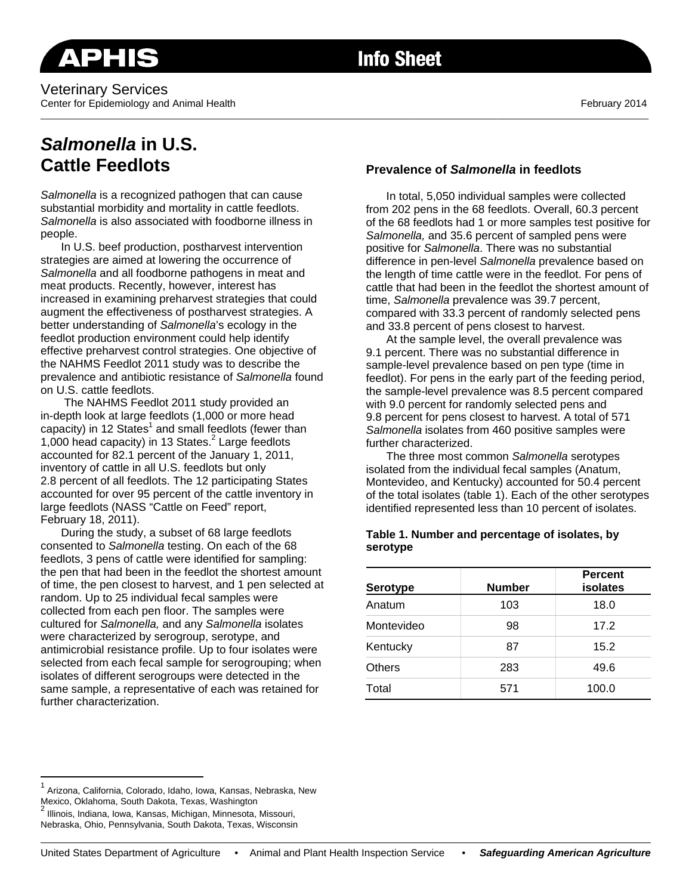Veterinary Services Center for Epidemiology and Animal Health February 2014

# **Info Sheet**

\_\_\_\_\_\_\_\_\_\_\_\_\_\_\_\_\_\_\_\_\_\_\_\_\_\_\_\_\_\_\_\_\_\_\_\_\_\_\_\_\_\_\_\_\_\_\_\_\_\_\_\_\_\_\_\_\_\_\_\_\_\_\_\_\_\_\_\_\_\_\_\_\_\_\_\_\_\_\_\_\_\_\_\_\_\_\_\_\_\_\_\_\_\_\_\_\_\_\_\_\_\_\_\_\_\_\_\_\_\_\_\_\_\_\_\_\_\_\_\_\_

## *Salmonella* **in U.S. Cattle Feedlots**

*Salmonella* is a recognized pathogen that can cause substantial morbidity and mortality in cattle feedlots. *Salmonella* is also associated with foodborne illness in people.

In U.S. beef production, postharvest intervention strategies are aimed at lowering the occurrence of *Salmonella* and all foodborne pathogens in meat and meat products. Recently, however, interest has increased in examining preharvest strategies that could augment the effectiveness of postharvest strategies. A better understanding of *Salmonella*'s ecology in the feedlot production environment could help identify effective preharvest control strategies. One objective of the NAHMS Feedlot 2011 study was to describe the prevalence and antibiotic resistance of *Salmonella* found on U.S. cattle feedlots.

 The NAHMS Feedlot 2011 study provided an in-depth look at large feedlots (1,000 or more head capacity) in 12 States<sup>1</sup> and small feedlots (fewer than 1,000 head capacity) in 13 States.<sup>2</sup> Large feedlots accounted for 82.1 percent of the January 1, 2011, inventory of cattle in all U.S. feedlots but only 2.8 percent of all feedlots. The 12 participating States accounted for over 95 percent of the cattle inventory in large feedlots (NASS "Cattle on Feed" report, February 18, 2011).

During the study, a subset of 68 large feedlots consented to *Salmonella* testing. On each of the 68 feedlots, 3 pens of cattle were identified for sampling: the pen that had been in the feedlot the shortest amount of time, the pen closest to harvest, and 1 pen selected at random. Up to 25 individual fecal samples were collected from each pen floor. The samples were cultured for *Salmonella,* and any *Salmonella* isolates were characterized by serogroup, serotype, and antimicrobial resistance profile. Up to four isolates were selected from each fecal sample for serogrouping; when isolates of different serogroups were detected in the same sample, a representative of each was retained for further characterization.

## **Prevalence of** *Salmonella* **in feedlots**

In total, 5,050 individual samples were collected from 202 pens in the 68 feedlots. Overall, 60.3 percent of the 68 feedlots had 1 or more samples test positive for *Salmonella,* and 35.6 percent of sampled pens were positive for *Salmonella*. There was no substantial difference in pen-level *Salmonella* prevalence based on the length of time cattle were in the feedlot. For pens of cattle that had been in the feedlot the shortest amount of time, *Salmonella* prevalence was 39.7 percent, compared with 33.3 percent of randomly selected pens and 33.8 percent of pens closest to harvest.

At the sample level, the overall prevalence was 9.1 percent. There was no substantial difference in sample-level prevalence based on pen type (time in feedlot). For pens in the early part of the feeding period, the sample-level prevalence was 8.5 percent compared with 9.0 percent for randomly selected pens and 9.8 percent for pens closest to harvest. A total of 571 *Salmonella* isolates from 460 positive samples were further characterized.

The three most common *Salmonella* serotypes isolated from the individual fecal samples (Anatum, Montevideo, and Kentucky) accounted for 50.4 percent of the total isolates (table 1). Each of the other serotypes identified represented less than 10 percent of isolates.

### **Table 1. Number and percentage of isolates, by serotype**

| <b>Serotype</b> | <b>Number</b> | <b>Percent</b><br>isolates |
|-----------------|---------------|----------------------------|
| Anatum          | 103           | 18.0                       |
| Montevideo      | 98            | 17.2                       |
| Kentucky        | 87            | 15.2                       |
| Others          | 283           | 49.6                       |
| Total           | 571           | 100.0                      |

 $\overline{a}$ 

<sup>&</sup>lt;sup>1</sup> Arizona, California, Colorado, Idaho, Iowa, Kansas, Nebraska, New Mexico, Oklahoma, South Dakota, Texas, Washington 2

Illinois, Indiana, Iowa, Kansas, Michigan, Minnesota, Missouri, Nebraska, Ohio, Pennsylvania, South Dakota, Texas, Wisconsin